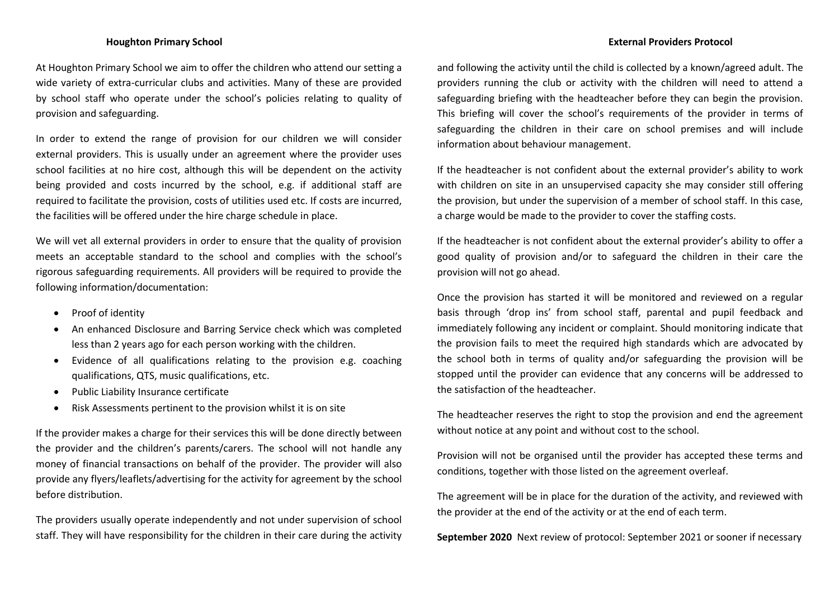# **Houghton Primary School External Providers Protocol**

At Houghton Primary School we aim to offer the children who attend our setting a wide variety of extra-curricular clubs and activities. Many of these are provided by school staff who operate under the school's policies relating to quality of provision and safeguarding.

In order to extend the range of provision for our children we will consider external providers. This is usually under an agreement where the provider uses school facilities at no hire cost, although this will be dependent on the activity being provided and costs incurred by the school, e.g. if additional staff are required to facilitate the provision, costs of utilities used etc. If costs are incurred, the facilities will be offered under the hire charge schedule in place.

We will vet all external providers in order to ensure that the quality of provision meets an acceptable standard to the school and complies with the school's rigorous safeguarding requirements. All providers will be required to provide the following information/documentation:

- Proof of identity
- An enhanced Disclosure and Barring Service check which was completed less than 2 years ago for each person working with the children.
- Evidence of all qualifications relating to the provision e.g. coaching qualifications, QTS, music qualifications, etc.
- Public Liability Insurance certificate
- Risk Assessments pertinent to the provision whilst it is on site

If the provider makes a charge for their services this will be done directly between the provider and the children's parents/carers. The school will not handle any money of financial transactions on behalf of the provider. The provider will also provide any flyers/leaflets/advertising for the activity for agreement by the school before distribution.

The providers usually operate independently and not under supervision of school staff. They will have responsibility for the children in their care during the activity and following the activity until the child is collected by a known/agreed adult. The providers running the club or activity with the children will need to attend a safeguarding briefing with the headteacher before they can begin the provision. This briefing will cover the school's requirements of the provider in terms of safeguarding the children in their care on school premises and will include information about behaviour management.

If the headteacher is not confident about the external provider's ability to work with children on site in an unsupervised capacity she may consider still offering the provision, but under the supervision of a member of school staff. In this case, a charge would be made to the provider to cover the staffing costs.

If the headteacher is not confident about the external provider's ability to offer a good quality of provision and/or to safeguard the children in their care the provision will not go ahead.

Once the provision has started it will be monitored and reviewed on a regular basis through 'drop ins' from school staff, parental and pupil feedback and immediately following any incident or complaint. Should monitoring indicate that the provision fails to meet the required high standards which are advocated by the school both in terms of quality and/or safeguarding the provision will be stopped until the provider can evidence that any concerns will be addressed to the satisfaction of the headteacher.

The headteacher reserves the right to stop the provision and end the agreement without notice at any point and without cost to the school.

Provision will not be organised until the provider has accepted these terms and conditions, together with those listed on the agreement overleaf.

The agreement will be in place for the duration of the activity, and reviewed with the provider at the end of the activity or at the end of each term.

**September 2020** Next review of protocol: September 2021 or sooner if necessary